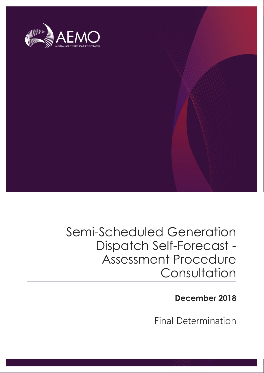

# Semi-Scheduled Generation Dispatch Self-Forecast - Assessment Procedure **Consultation**

**December 2018**

Final Determination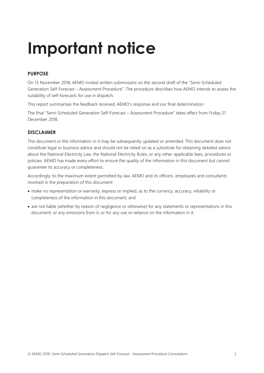# **Important notice**

# **PURPOSE**

On 13 November 2018, AEMO invited written submissions on the second draft of the "Semi-Scheduled Generation Self-Forecast – Assessment Procedure". The procedure describes how AEMO intends to assess the suitability of self-forecasts for use in dispatch.

This report summarises the feedback received, AEMO's response and our final determination.

The final "Semi-Scheduled Generation Self-Forecast – Assessment Procedure" takes effect from Friday 21 December 2018.

## **DISCLAIMER**

This document or the information in it may be subsequently updated or amended. This document does not constitute legal or business advice and should not be relied on as a substitute for obtaining detailed advice about the National Electricity Law, the National Electricity Rules, or any other applicable laws, procedures or policies. AEMO has made every effort to ensure the quality of the information in this document but cannot guarantee its accuracy or completeness.

Accordingly, to the maximum extent permitted by law, AEMO and its officers, employees and consultants involved in the preparation of this document:

- make no representation or warranty, express or implied, as to the currency, accuracy, reliability or completeness of the information in this document; and
- are not liable (whether by reason of negligence or otherwise) for any statements or representations in this document, or any omissions from it, or for any use or reliance on the information in it.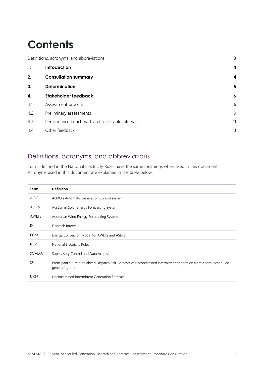# **Contents**

| Definitions, acronyms, and abbreviations |                                                | 3                |
|------------------------------------------|------------------------------------------------|------------------|
| 1.                                       | Introduction                                   | 4                |
| 2.                                       | <b>Consultation summary</b>                    | 4                |
| 3.                                       | <b>Determination</b>                           | 5                |
| 4.                                       | Stakeholder feedback                           | $\boldsymbol{6}$ |
| 4.1                                      | Assessment process                             | 6                |
| 4.2                                      | Preliminary assessments                        | 9                |
| 4.3                                      | Performance benchmark and assessable intervals | 11               |
| 4.4                                      | Other feedback                                 | 13               |

# <span id="page-2-0"></span>Definitions, acronyms, and abbreviations

Terms defined in the National Electricity Rules have the same meanings when used in this document. Acronyms used in this document are explained in the table below.

| <b>Term</b>  | <b>Definition</b>                                                                                                                     |
|--------------|---------------------------------------------------------------------------------------------------------------------------------------|
| AGC          | AEMO's Automatic Generation Control system                                                                                            |
| <b>ASEFS</b> | Australian Solar Energy Forecasting System                                                                                            |
| AWEFS        | Australian Wind Energy Forecasting System                                                                                             |
| DI           | Dispatch Interval                                                                                                                     |
| <b>ECM</b>   | Energy Conversion Model for AWEFS and ASEFS                                                                                           |
| <b>NER</b>   | National Electricity Rules                                                                                                            |
| <b>SCADA</b> | Supervisory Control and Data Acquisition                                                                                              |
| SF           | Participant's 5-minute ahead Dispatch Self-Forecast of unconstrained intermittent generation from a semi-scheduled<br>generating unit |
| <b>UIGF</b>  | Unconstrained Intermittent Generation Forecast                                                                                        |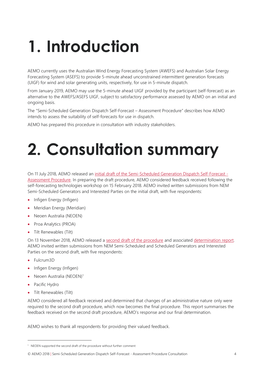# <span id="page-3-0"></span>**1. Introduction**

AEMO currently uses the Australian Wind Energy Forecasting System (AWEFS) and Australian Solar Energy Forecasting System (ASEFS) to provide 5-minute ahead unconstrained intermittent generation forecasts (UIGF) for wind and solar generating units, respectively, for use in 5-minute dispatch.

From January 2019, AEMO may use the 5-minute ahead UIGF provided by the participant (self-forecast) as an alternative to the AWEFS/ASEFS UIGF, subject to satisfactory performance assessed by AEMO on an initial and ongoing basis.

The "Semi-Scheduled Generation Dispatch Self-Forecast – Assessment Procedure" describes how AEMO intends to assess the suitability of self-forecasts for use in dispatch.

AEMO has prepared this procedure in consultation with industry stakeholders.

# <span id="page-3-1"></span>**2. Consultation summary**

On 11 July 2018, AEMO released a[n initial draft of the Semi-Scheduled Generation Dispatch Self-Forecast -](https://www.aemo.com.au/-/media/Files/Stakeholder_Consultation/Working_Groups/Other_Meetings/5-Minute-Forecast/Semi-Scheduled-Generation-Dispatch-Self-Forecast---Assessment-Procedure---first-draft.pdf) [Assessment Procedure.](https://www.aemo.com.au/-/media/Files/Stakeholder_Consultation/Working_Groups/Other_Meetings/5-Minute-Forecast/Semi-Scheduled-Generation-Dispatch-Self-Forecast---Assessment-Procedure---first-draft.pdf) In preparing the draft procedure, AEMO considered feedback received following the self-forecasting technologies workshop on 15 February 2018. AEMO invited written submissions from NEM Semi-Scheduled Generators and Interested Parties on the initial draft, with five respondents:

- Infigen Energy (Infigen)
- Meridian Energy (Meridian)
- Neoen Australia (NEOEN)
- Proa Analytics (PROA)
- Tilt Renewables (Tilt)

On 13 November 2018, AEMO released a [second draft of the procedure](https://www.aemo.com.au/-/media/Files/Stakeholder_Consultation/Working_Groups/Other_Meetings/5-Minute-Forecast/Semi-Scheduled-Generation-Dispatch-Self-Forecast---Assessment-Procedure---second-draft.pdf) and associated [determination report.](https://www.aemo.com.au/-/media/Files/Stakeholder_Consultation/Working_Groups/Other_Meetings/5-Minute-Forecast/Semi-Scheduled-Generation-Dispatch-Self-Forecast---Assessment-Procedure---draft-determination.pdf) AEMO invited written submissions from NEM Semi-Scheduled and Scheduled Generators and Interested Parties on the second draft, with five respondents:

- Fulcrum3D
- Infigen Energy (Infigen)
- Neoen Australia (NEOEN)<sup>1</sup>
- Pacific Hydro

 $\overline{a}$ 

• Tilt Renewables (Tilt)

AEMO considered all feedback received and determined that changes of an administrative nature only were required to the second draft procedure, which now becomes the final procedure. This report summarises the feedback received on the second draft procedure, AEMO's response and our final determination.

AEMO wishes to thank all respondents for providing their valued feedback.

<sup>&</sup>lt;sup>1</sup> NEOEN supported the second draft of the procedure without further comment

<sup>©</sup> AEMO 2018 | Semi-Scheduled Generation Dispatch Self-Forecast - Assessment Procedure Consultation 4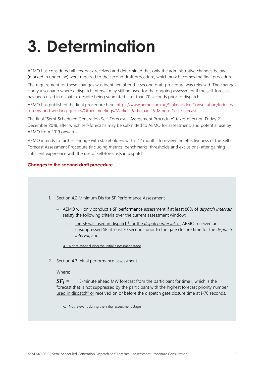# <span id="page-4-0"></span>**3. Determination**

AEMO has considered all feedback received and determined that only the administrative changes below (marked in underline) were required to the second draft procedure, which now becomes the final procedure.

The requirement for these changes was identified after the second draft procedure was released. The changes clarify a scenario where a dispatch interval may still be used for the ongoing assessment if the self-forecast has been used in dispatch, despite being submitted later than 70 seconds prior to dispatch.

AEMO has published the final procedure here: [https://www.aemo.com.au/Stakeholder-Consultation/Industry](https://www.aemo.com.au/Stakeholder-Consultation/Industry-forums-and-working-groups/Other-meetings/Market-Participant-5-Minute-Self-Forecast)[forums-and-working-groups/Other-meetings/Market-Participant-5-Minute-Self-Forecast](https://www.aemo.com.au/Stakeholder-Consultation/Industry-forums-and-working-groups/Other-meetings/Market-Participant-5-Minute-Self-Forecast)

The final "Semi-Scheduled Generation Self-Forecast – Assessment Procedure" takes effect on Friday 21 December 2018, after which self-forecasts may be submitted to AEMO for assessment, and potential use by AEMO from 2019 onwards.

AEMO intends to further engage with stakeholders within 12 months to review the effectiveness of the Self-Forecast Assessment Procedure (including metrics, benchmarks, thresholds and exclusions) after gaining sufficient experience with the use of self-forecasts in dispatch.

#### **Changes to the second draft procedure**

- 1. Section 4.2 Minimum DIs for SF Performance Assessment
	- AEMO will only conduct a SF performance assessment if at least 80% of *dispatch intervals* satisfy the following criteria over the current assessment window:
		- i. the SF was used in dispatch<sup>4</sup> for the *dispatch interval*, or AEMO received an unsuppressed SF at least 70 seconds prior to the gate closure time for the *dispatch interval*; and

4. Not relevant during the initial assessment stage

2. Section 4.3 Initial performance assessment

Where:

 $SF_i = 5$ -minute ahead MW forecast from the participant for time i, which is the forecast that is not suppressed by the participant with the highest forecast priority number used in dispatch<sup>6</sup> or received on or before the dispatch gate closure time at  $i$ -70 seconds.

6. Not relevant during the initial assessment stage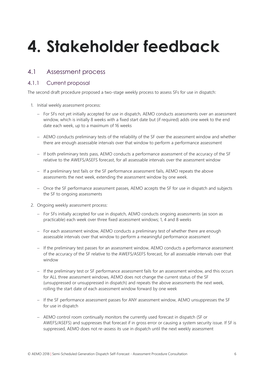# <span id="page-5-0"></span>**4. Stakeholder feedback**

# <span id="page-5-1"></span>4.1 Assessment process

# 4.1.1 Current proposal

The second draft procedure proposed a two-stage weekly process to assess SFs for use in dispatch:

- 1. Initial weekly assessment process:
	- For SFs not yet initially accepted for use in dispatch, AEMO conducts assessments over an assessment window, which is initially 8 weeks with a fixed start date but (if required) adds one week to the end date each week, up to a maximum of 16 weeks
	- AEMO conducts preliminary tests of the reliability of the SF over the assessment window and whether there are enough assessable intervals over that window to perform a performance assessment
	- If both preliminary tests pass, AEMO conducts a performance assessment of the accuracy of the SF relative to the AWEFS/ASEFS forecast, for all assessable intervals over the assessment window
	- If a preliminary test fails or the SF performance assessment fails, AEMO repeats the above assessments the next week, extending the assessment window by one week.
	- Once the SF performance assessment passes, AEMO accepts the SF for use in dispatch and subjects the SF to ongoing assessments
- 2. Ongoing weekly assessment process:
	- For SFs initially accepted for use in dispatch, AEMO conducts ongoing assessments (as soon as practicable) each week over three fixed assessment windows; 1, 4 and 8 weeks
	- For each assessment window, AEMO conducts a preliminary test of whether there are enough assessable intervals over that window to perform a meaningful performance assessment
	- If the preliminary test passes for an assessment window, AEMO conducts a performance assessment of the accuracy of the SF relative to the AWEFS/ASEFS forecast, for all assessable intervals over that window
	- If the preliminary test or SF performance assessment fails for an assessment window, and this occurs for ALL three assessment windows, AEMO does not change the current status of the SF (unsuppressed or unsuppressed in dispatch) and repeats the above assessments the next week, rolling the start date of each assessment window forward by one week
	- If the SF performance assessment passes for ANY assessment window, AEMO unsuppresses the SF for use in dispatch
	- AEMO control room continually monitors the currently used forecast in dispatch (SF or AWEFS/ASEFS) and suppresses that forecast if in gross error or causing a system security issue. If SF is suppressed, AEMO does not re-assess its use in dispatch until the next weekly assessment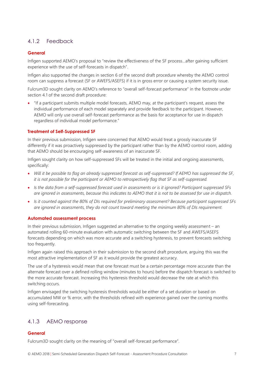# 4.1.2 Feedback

## **General**

Infigen supported AEMO's proposal to "review the effectiveness of the SF process…after gaining sufficient experience with the use of self-forecasts in dispatch".

Infigen also supported the changes in section 6 of the second draft procedure whereby the AEMO control room can suppress a forecast (SF or AWEFS/ASEFS) if it is in gross error or causing a system security issue.

Fulcrum3D sought clarity on AEMO's reference to "overall self-forecast performance" in the footnote under section 4.1 of the second draft procedure:

• "If a participant submits multiple model forecasts, AEMO may, at the participant's request, assess the individual performance of each model separately and provide feedback to the participant. However, AEMO will only use overall self-forecast performance as the basis for acceptance for use in dispatch regardless of individual model performance."

### **Treatment of Self-Suppressed SF**

In their previous submission, Infigen were concerned that AEMO would treat a grossly inaccurate SF differently if it was proactively suppressed by the participant rather than by the AEMO control room, adding that AEMO should be encouraging self-awareness of an inaccurate SF.

Infigen sought clarity on how self-suppressed SFs will be treated in the initial and ongoing assessments, specifically:

- *Will it be possible to flag an already suppressed forecast as self-suppressed? If AEMO has suppressed the SF, it is not possible for the participant or AEMO to retrospectively flag that SF as self-suppressed.*
- *Is the data from a self-suppressed forecast used in assessments or is it ignored? Participant suppressed SFs are ignored in assessments, because this indicates to AEMO that it is not to be assessed for use in dispatch.*
- *Is it counted against the 80% of DIs required for preliminary assessment? Because participant suppressed SFs are ignored in assessments, they do not count toward meeting the minimum 80% of DIs requirement.*

#### **Automated assessment process**

In their previous submission, Infigen suggested an alternative to the ongoing weekly assessment – an automated rolling 60-minute evaluation with automatic switching between the SF and AWEFS/ASEFS forecasts depending on which was more accurate and a switching hysteresis, to prevent forecasts switching too frequently.

Infigen again raised this approach in their submission to the second draft procedure, arguing this was the most attractive implementation of SF as it would provide the greatest accuracy.

The use of a hysteresis would mean that one forecast must be a certain percentage more accurate than the alternate forecast over a defined rolling window (minutes to hours) before the dispatch forecast is switched to the more accurate forecast. Increasing this hysteresis threshold would decrease the rate at which this switching occurs.

Infigen envisaged the switching hysteresis thresholds would be either of a set duration or based on accumulated MW or % error, with the thresholds refined with experience gained over the coming months using self-forecasting.

# 4.1.3 AEMO response

### **General**

Fulcrum3D sought clarity on the meaning of "overall self-forecast performance".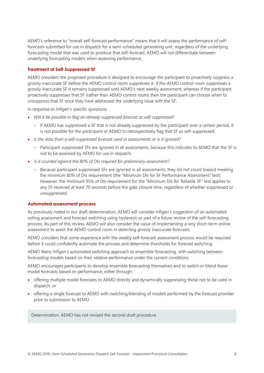AEMO's reference to "overall self-forecast performance" means that it will assess the performance of selfforecasts submitted for use in dispatch for a semi-scheduled generating unit, regardless of the underlying forecasting model that was used to produce that self-forecast. AEMO will not differentiate between underlying forecasting models when assessing performance.

#### **Treatment of Self-Suppressed SF**

AEMO considers the proposed procedure is designed to encourage the participant to proactively suppress a grossly inaccurate SF before the AEMO control room suppresses it. If the AEMO control room suppresses a grossly inaccurate SF it remains suppressed until AEMO's next weekly assessment, whereas if the participant proactively suppresses that SF (rather than AEMO control room) then the participant can choose when to unsuppress that SF once they have addressed the underlying issue with the SF.

In response to Infigen's specific questions:

- *Will it be possible to flag an already suppressed forecast as self-suppressed?* 
	- If AEMO has suppressed a SF that is not already suppressed by the participant over a certain period, it is not possible for the participant or AEMO to retrospectively flag that SF as self-suppressed.
- *Is the data from a self-suppressed forecast used in assessments or is it ignored?* 
	- Participant suppressed SFs are ignored in all assessments, because this indicates to AEMO that the SF is not to be assessed by AEMO for use in dispatch.
- *Is it counted against the 80% of DIs required for preliminary assessment?* 
	- Because participant suppressed SFs are ignored in all assessments, they do not count toward meeting the minimum 80% of DIs requirement (the "Minimum DIs for SF Performance Assessment" test). However, the minimum 95% of DIs requirement for the "Minimum DIs for Reliable SF" test applies to any SF received at least 70 seconds before the gate closure time, regardless of whether suppressed or unsuppressed.

#### **Automated assessment process**

As previously noted in our draft determination, AEMO will consider Infigen's suggestion of an automated rolling assessment and forecast switching using hysteresis as part of a future review of the self-forecasting process. As part of this review, AEMO will also consider the value of implementing a very short-term online assessment to assist the AEMO control room in detecting grossly inaccurate forecasts.

AEMO considers that some experience with the weekly self-forecast assessment process would be required before it could confidently automate the process and determine thresholds for forecast switching.

AEMO likens Infigen's automated switching approach to ensemble forecasting, with switching between forecasting models based on their relative performance under the current conditions.

AEMO encourages participants to develop ensemble forecasting themselves and to switch or blend those model forecasts based on performance, either through:

- offering multiple model forecasts to AEMO directly and dynamically suppressing those not to be used in dispatch, or
- offering a single forecast to AEMO with switching/blending of models performed by the forecast provider prior to submission to AEMO

Determination: AEMO has not revised the second draft procedure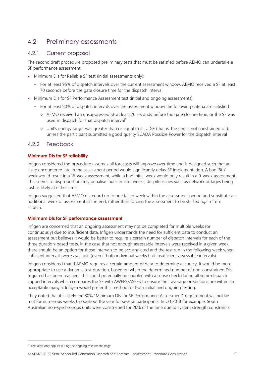# <span id="page-8-0"></span>4.2 Preliminary assessments

# 4.2.1 Current proposal

The second draft procedure proposed preliminary tests that must be satisfied before AEMO can undertake a SF performance assessment:

- Minimum DIs for Reliable SF test (initial assessments only):
	- For at least 95% of dispatch intervals over the current assessment window, AEMO received a SF at least 70 seconds before the gate closure time for the dispatch interval
- Minimum DIs for SF Performance Assessment test (initial and ongoing assessments):
	- For at least 80% of dispatch intervals over the assessment window the following criteria are satisfied:
		- AEMO received an unsuppressed SF at least 70 seconds before the gate closure time, or the SF was used in dispatch for that dispatch interval<sup>2</sup>
		- Unit's energy target was greater than or equal to its UIGF (that is, the unit is not constrained off), unless the participant submitted a good quality SCADA Possible Power for the dispatch interval

# 4.2.2 Feedback

### **Minimum DIs for SF reliability**

Infigen considered the procedure assumes all forecasts will improve over time and is designed such that an issue encountered late in the assessment period would significantly delay SF implementation. A bad '8th' week would result in a 16-week assessment, while a bad initial week would only result in a 9-week assessment. This seems to disproportionately penalise faults in later weeks, despite issues such as network outages being just as likely at either time.

Infigen suggested that AEMO disregard up to one failed week within the assessment period and substitute an additional week of assessment at the end, rather than forcing the assessment to be started again from scratch.

### **Minimum DIs for SF performance assessment**

Infigen are concerned that an ongoing assessment may not be completed for multiple weeks (or continuously) due to insufficient data. Infigen understands the need for sufficient data to conduct an assessment but believes it would be better to require a certain number of dispatch intervals for each of the three duration-based tests. In the case that not enough assessable intervals were received in a given week, there should be an option for those intervals to be accumulated and the test run in the following week when sufficient intervals were available (even if both individual weeks had insufficient assessable intervals).

Infigen considered that if AEMO requires a certain amount of data to determine accuracy, it would be more appropriate to use a dynamic test duration, based on when the determined number of non-constrained DIs required has been reached. This could potentially be coupled with a sense check during all semi-dispatch capped intervals which compares the SF with AWEFS/ASEFS to ensure their average predictions are within an acceptable margin. Infigen would prefer this method for both initial and ongoing testing.

They noted that it is likely the 80% "Minimum DIs for SF Performance Assessment" requirement will not be met for numerous weeks throughout the year for several participants. In Q3 2018 for example, South Australian non-synchronous units were constrained for 26% of the time due to system strength constraints.

 $\overline{a}$ 

 $2$  The latter only applies during the ongoing assessment stage

<sup>©</sup> AEMO 2018 | Semi-Scheduled Generation Dispatch Self-Forecast - Assessment Procedure Consultation 9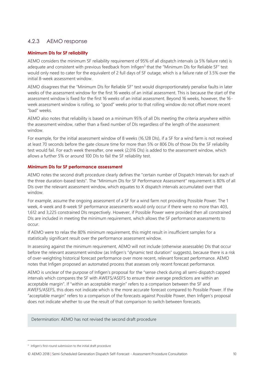# 4.2.3 AEMO response

### **Minimum DIs for SF reliability**

AEMO considers the minimum SF reliability requirement of 95% of all dispatch intervals (a 5% failure rate) is adequate and consistent with previous feedback from Infigen<sup>3</sup> that the "Minimum DIs for Reliable SF" test would only need to cater for the equivalent of 2 full days of SF outage, which is a failure rate of 3.5% over the initial 8-week assessment window.

AEMO disagrees that the "Minimum DIs for Reliable SF" test would disproportionately penalise faults in later weeks of the assessment window for the first 16 weeks of an initial assessment. This is because the start of the assessment window is fixed for the first 16 weeks of an initial assessment. Beyond 16 weeks, however, the 16 week assessment window is rolling, so "good" weeks prior to that rolling window do not offset more recent "bad" weeks.

AEMO also notes that reliability is based on a minimum 95% of all DIs meeting the criteria anywhere within the assessment window, rather than a fixed number of DIs regardless of the length of the assessment window.

For example, for the initial assessment window of 8 weeks (16,128 DIs), if a SF for a wind farm is not received at least 70 seconds before the gate closure time for more than 5% or 806 DIs of those DIs the SF reliability test would fail. For each week thereafter, one week (2,016 DIs) is added to the assessment window, which allows a further 5% or around 100 DIs to fail the SF reliability test.

#### **Minimum DIs for SF performance assessment**

AEMO notes the second draft procedure clearly defines the "certain number of Dispatch Intervals for each of the three duration-based tests". The "Minimum DIs for SF Performance Assessment" requirement is 80% of all DIs over the relevant assessment window, which equates to X dispatch intervals accumulated over that window.

For example, assume the ongoing assessment of a SF for a wind farm not providing Possible Power. The 1 week, 4-week and 8-week SF performance assessments would only occur if there were no more than 403, 1,612 and 3,225 constrained DIs respectively. However, if Possible Power were provided then all constrained DIs are included in meeting the minimum requirement, which allows the SF performance assessments to occur.

If AEMO were to relax the 80% minimum requirement, this might result in insufficient samples for a statistically significant result over the performance assessment window.

In assessing against the minimum requirement, AEMO will not include (otherwise assessable) DIs that occur before the relevant assessment window (as Infigen's "dynamic test duration" suggests), because there is a risk of over-weighting historical forecast performance over more recent, relevant forecast performance. AEMO notes that Infigen proposed an automated process that assesses only recent forecast performance.

AEMO is unclear of the purpose of Infigen's proposal for the "sense check during all semi-dispatch capped intervals which compares the SF with AWEFS/ASEFS to ensure their average predictions are within an acceptable margin". If "within an acceptable margin" refers to a comparison between the SF and AWEFS/ASEFS, this does not indicate which is the more accurate forecast compared to Possible Power. If the "acceptable margin" refers to a comparison of the forecasts against Possible Power, then Infigen's proposal does not indicate whether to use the result of that comparison to switch between forecasts.

Determination: AEMO has not revised the second draft procedure

 $\overline{a}$ 

<sup>&</sup>lt;sup>3</sup> Infigen's first-round submission to the initial draft procedure

<sup>©</sup> AEMO 2018 | Semi-Scheduled Generation Dispatch Self-Forecast - Assessment Procedure Consultation 10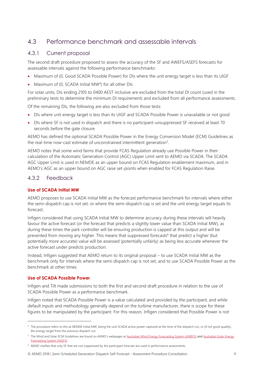# <span id="page-10-0"></span>4.3 Performance benchmark and assessable intervals

# 4.3.1 Current proposal

The second draft procedure proposed to assess the accuracy of the SF and AWEFS/ASEFS forecasts for assessable intervals against the following performance benchmarks:

- Maximum of (0, Good SCADA Possible Power) for DIs where the unit energy target is less than its UIGF
- Maximum of (0, SCADA Initial MW<sup>4</sup>) for all other DIs

For solar units, DIs ending 2105 to 0400 AEST inclusive are excluded from the total DI count (used in the preliminary tests to determine the minimum DI requirement) and excluded from all performance assessments.

Of the remaining DIs, the following are also excluded from those tests:

- DIs where unit energy target is less than its UIGF and SCADA Possible Power is unavailable or not good
- DIs where SF is not used in dispatch and there is no participant-unsuppressed SF received at least 70 seconds before the gate closure

AEMO has defined the optional SCADA Possible Power in the Energy Conversion Model (ECM) Guidelines as the real-time now-cast estimate of unconstrained intermittent generation<sup>5</sup>.

AEMO notes that some wind farms that provide FCAS Regulation already use Possible Power in their calculation of the Automatic Generation Control (AGC) Upper Limit sent to AEMO via SCADA. The SCADA AGC Upper Limit is used in NEMDE as an upper bound on FCAS Regulation enablement maximum, and in AEMO's AGC as an upper bound on AGC raise set-points when enabled for FCAS Regulation Raise.

# 4.3.2 Feedback

### **Use of SCADA Initial MW**

AEMO proposes to use SCADA Initial MW as the forecast performance benchmark for intervals where either the semi-dispatch cap is not set, or where the semi-dispatch cap is set and the unit energy target equals its forecast.

Infigen considered that using SCADA Initial MW to determine accuracy during these intervals will heavily favour the active forecast (or the forecast that predicts a slightly lower value than SCADA Initial MW), as during these times the park controller will be ensuring production is capped at this output and will be prevented from moving any higher. This means that suppressed forecasts<sup>6</sup> that predict a higher (but potentially more accurate) value will be assessed (potentially unfairly) as being less accurate whenever the active forecast under predicts production.

Instead, Infigen suggested that AEMO return to its original proposal – to use SCADA Initial MW as the benchmark only for intervals where the semi-dispatch cap is not set, and to use SCADA Possible Power as the benchmark at other times.

#### **Use of SCADA Possible Power**

 $\overline{a}$ 

Infigen and Tilt made submissions to both the first and second draft procedure in relation to the use of SCADA Possible Power as a performance benchmark.

Infigen noted that SCADA Possible Power is a value calculated and provided by the participant, and while default inputs and methodology generally depend on the turbine manufacturer, there is scope for these figures to be manipulated by the participant. For this reason, Infigen considered that Possible Power is not

<sup>4</sup> The procedure refers to this as NEMDE Initial MW, being the unit SCADA active power captured at the time of the dispatch run, or (if not good quality), the energy target from the previous dispatch run

<sup>&</sup>lt;sup>5</sup> The Wind and Solar ECM Guidelines are found on AEMO's webpages at [Australian Wind Energy Forecasting System \(AWEFS\)](http://www.aemo.com.au/Electricity/National-Electricity-Market-NEM/Planning-and-forecasting/Solar-and-wind-energy-forecasting/AWEFS) and Australian Solar Energy [Forecasting System \(ASEFS\)](http://www.aemo.com.au/Electricity/National-Electricity-Market-NEM/Planning-and-forecasting/Solar-and-wind-energy-forecasting/ASEFS)

<sup>&</sup>lt;sup>6</sup> AEMO clarifies that only SF that are not suppressed by the participant forecast are used in performance assessments.

<sup>©</sup> AEMO 2018 | Semi-Scheduled Generation Dispatch Self-Forecast - Assessment Procedure Consultation 11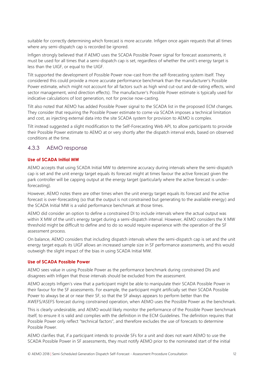suitable for correctly determining which forecast is more accurate. Infigen once again requests that all times where any semi-dispatch cap is recorded be ignored.

Infigen strongly believed that if AEMO uses the SCADA Possible Power signal for forecast assessments, it must be used for all times that a semi-dispatch cap is set, regardless of whether the unit's energy target is less than the UIGF, or equal to the UIGF.

Tilt supported the development of Possible Power now-cast from the self-forecasting system itself. They considered this could provide a more accurate performance benchmark than the manufacturer's Possible Power estimate, which might not account for all factors such as high wind cut-out and de-rating effects, wind sector management, wind direction effects). The manufacturer's Possible Power estimate is typically used for indicative calculations of lost generation, not for precise now-casting.

Tilt also noted that AEMO has added Possible Power signal to the SCADA list in the proposed ECM changes. They consider that requiring the Possible Power estimate to come via SCADA imposes a technical limitation and cost, as injecting external data into the site SCADA system for provision to AEMO is complex.

Tilt instead suggested a slight modification to the Self-Forecasting Web API, to allow participants to provide their Possible Power estimate to AEMO at or very shortly after the dispatch interval ends, based on observed conditions at the time.

# 4.3.3 AEMO response

#### **Use of SCADA Initial MW**

AEMO accepts that using SCADA Initial MW to determine accuracy during intervals where the semi-dispatch cap is set and the unit energy target equals its forecast might at times favour the active forecast given the park controller will be capping output at the energy target (particularly where the active forecast is underforecasting).

However, AEMO notes there are other times when the unit energy target equals its forecast and the active forecast is over-forecasting (so that the output is not constrained but generating to the available energy) and the SCADA Initial MW is a valid performance benchmark at those times.

AEMO did consider an option to define a constrained DI to include intervals where the actual output was within X MW of the unit's energy target during a semi-dispatch interval. However, AEMO considers the X MW threshold might be difficult to define and to do so would require experience with the operation of the SF assessment process.

On balance, AEMO considers that including dispatch intervals where the semi-dispatch cap is set and the unit energy target equals its UIGF allows an increased sample size in SF performance assessments, and this would outweigh the slight impact of the bias in using SCADA Initial MW.

#### **Use of SCADA Possible Power**

AEMO sees value in using Possible Power as the performance benchmark during constrained DIs and disagrees with Infigen that those intervals should be excluded from the assessment.

AEMO accepts Infigen's view that a participant might be able to manipulate their SCADA Possible Power in their favour for the SF assessments. For example, the participant might artificially set their SCADA Possible Power to always be at or near their SF, so that the SF always appears to perform better than the AWEFS/ASEFS forecast during constrained operation, when AEMO uses the Possible Power as the benchmark.

This is clearly undesirable, and AEMO would likely monitor the performance of the Possible Power benchmark itself, to ensure it is valid and complies with the definition in the ECM Guidelines. The definition requires that Possible Power only reflect "technical factors", and therefore excludes the use of forecasts to determine Possible Power.

AEMO clarifies that, if a participant intends to provide SFs for a unit and does not want AEMO to use the SCADA Possible Power in SF assessments, they must notify AEMO prior to the nominated start of the initial